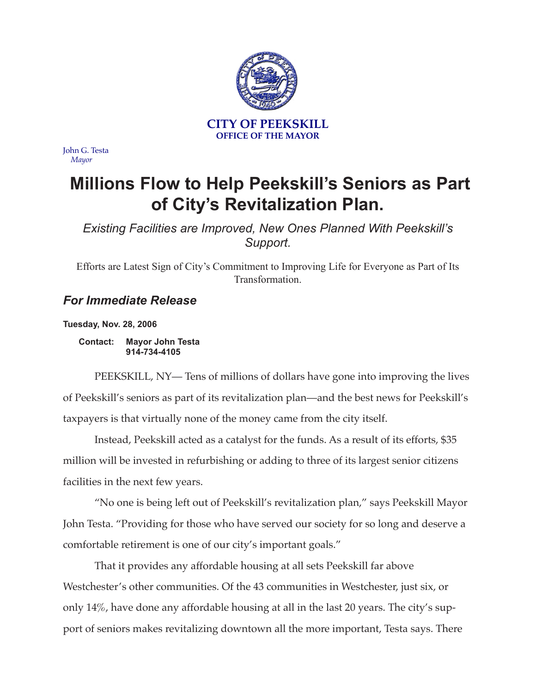

John G. Testa *Mayor*

## **Millions Flow to Help Peekskill's Seniors as Part of City's Revitalization Plan.**

*Existing Facilities are Improved, New Ones Planned With Peekskill's Support.*

Efforts are Latest Sign of City's Commitment to Improving Life for Everyone as Part of Its Transformation.

## *For Immediate Release*

**Tuesday, Nov. 28, 2006**

**Contact: Mayor John Testa 914-734-4105**

PEEKSKILL, NY— Tens of millions of dollars have gone into improving the lives of Peekskill's seniors as part of its revitalization plan—and the best news for Peekskill's taxpayers is that virtually none of the money came from the city itself.

Instead, Peekskill acted as a catalyst for the funds. As a result of its efforts, \$35 million will be invested in refurbishing or adding to three of its largest senior citizens facilities in the next few years.

"No one is being left out of Peekskill's revitalization plan," says Peekskill Mayor John Testa. "Providing for those who have served our society for so long and deserve a comfortable retirement is one of our city's important goals."

That it provides any affordable housing at all sets Peekskill far above Westchester's other communities. Of the 43 communities in Westchester, just six, or only 14%, have done any affordable housing at all in the last 20 years. The city's support of seniors makes revitalizing downtown all the more important, Testa says. There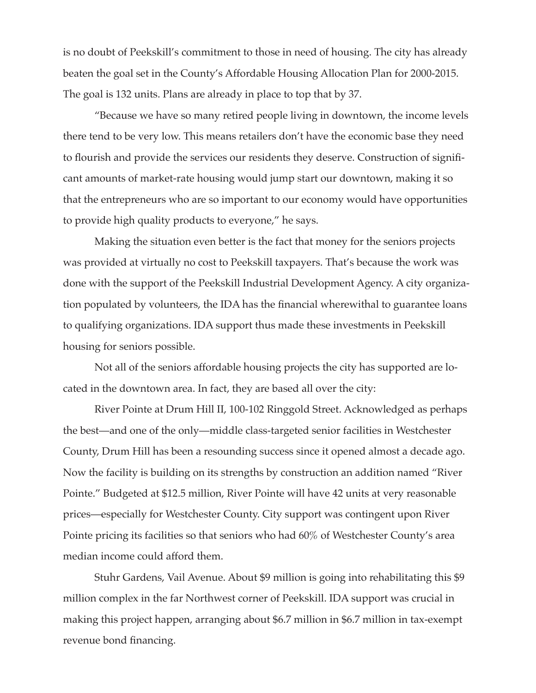is no doubt of Peekskill's commitment to those in need of housing. The city has already beaten the goal set in the County's Affordable Housing Allocation Plan for 2000-2015. The goal is 132 units. Plans are already in place to top that by 37.

"Because we have so many retired people living in downtown, the income levels there tend to be very low. This means retailers don't have the economic base they need to flourish and provide the services our residents they deserve. Construction of significant amounts of market-rate housing would jump start our downtown, making it so that the entrepreneurs who are so important to our economy would have opportunities to provide high quality products to everyone," he says.

Making the situation even better is the fact that money for the seniors projects was provided at virtually no cost to Peekskill taxpayers. That's because the work was done with the support of the Peekskill Industrial Development Agency. A city organization populated by volunteers, the IDA has the financial wherewithal to guarantee loans to qualifying organizations. IDA support thus made these investments in Peekskill housing for seniors possible.

Not all of the seniors affordable housing projects the city has supported are located in the downtown area. In fact, they are based all over the city:

River Pointe at Drum Hill II, 100-102 Ringgold Street. Acknowledged as perhaps the best—and one of the only—middle class-targeted senior facilities in Westchester County, Drum Hill has been a resounding success since it opened almost a decade ago. Now the facility is building on its strengths by construction an addition named "River Pointe." Budgeted at \$12.5 million, River Pointe will have 42 units at very reasonable prices—especially for Westchester County. City support was contingent upon River Pointe pricing its facilities so that seniors who had 60% of Westchester County's area median income could afford them.

Stuhr Gardens, Vail Avenue. About \$9 million is going into rehabilitating this \$9 million complex in the far Northwest corner of Peekskill. IDA support was crucial in making this project happen, arranging about \$6.7 million in \$6.7 million in tax-exempt revenue bond financing.